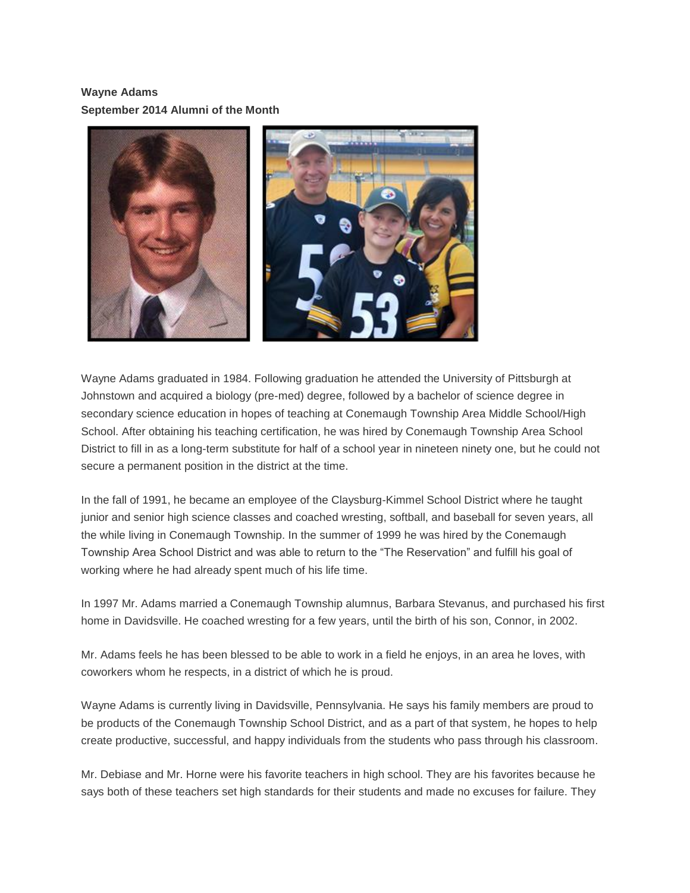## **Wayne Adams September 2014 Alumni of the Month**



Wayne Adams graduated in 1984. Following graduation he attended the University of Pittsburgh at Johnstown and acquired a biology (pre-med) degree, followed by a bachelor of science degree in secondary science education in hopes of teaching at Conemaugh Township Area Middle School/High School. After obtaining his teaching certification, he was hired by Conemaugh Township Area School District to fill in as a long-term substitute for half of a school year in nineteen ninety one, but he could not secure a permanent position in the district at the time.

In the fall of 1991, he became an employee of the Claysburg-Kimmel School District where he taught junior and senior high science classes and coached wresting, softball, and baseball for seven years, all the while living in Conemaugh Township. In the summer of 1999 he was hired by the Conemaugh Township Area School District and was able to return to the "The Reservation" and fulfill his goal of working where he had already spent much of his life time.

In 1997 Mr. Adams married a Conemaugh Township alumnus, Barbara Stevanus, and purchased his first home in Davidsville. He coached wresting for a few years, until the birth of his son, Connor, in 2002.

Mr. Adams feels he has been blessed to be able to work in a field he enjoys, in an area he loves, with coworkers whom he respects, in a district of which he is proud.

Wayne Adams is currently living in Davidsville, Pennsylvania. He says his family members are proud to be products of the Conemaugh Township School District, and as a part of that system, he hopes to help create productive, successful, and happy individuals from the students who pass through his classroom.

Mr. Debiase and Mr. Horne were his favorite teachers in high school. They are his favorites because he says both of these teachers set high standards for their students and made no excuses for failure. They